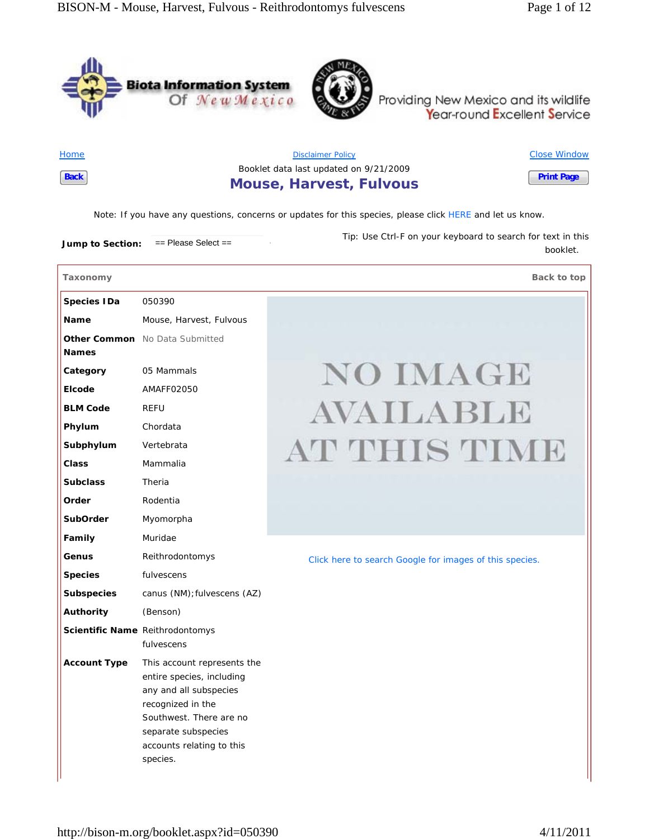



Providing New Mexico and its wildlife<br>Year-round Excellent Service

**Home Back**

| <b>Disclaimer Policy</b>               | <b>Close Window</b> |
|----------------------------------------|---------------------|
| Booklet data last updated on 9/21/2009 |                     |
| <b>Mouse, Harvest, Fulvous</b>         | <b>Print Page</b>   |

*Note*: If you have any questions, concerns or updates for this species, please click HERE and let us know.

**Jump to Section:** == Please Select == *Tip:* Use Ctrl-F on your keyboard to search for text in this

**Taxonomy Back to top**

booklet.

| <b>Species IDa</b>  | 050390                                                                                                                                                                                             |                                                         |
|---------------------|----------------------------------------------------------------------------------------------------------------------------------------------------------------------------------------------------|---------------------------------------------------------|
| Name                | Mouse, Harvest, Fulvous                                                                                                                                                                            |                                                         |
| <b>Names</b>        | <b>Other Common</b> No Data Submitted                                                                                                                                                              |                                                         |
| Category            | 05 Mammals                                                                                                                                                                                         | <b>NO IMAGE</b>                                         |
| Elcode              | AMAFF02050                                                                                                                                                                                         |                                                         |
| <b>BLM Code</b>     | <b>REFU</b>                                                                                                                                                                                        | AVAILABLE                                               |
| Phylum              | Chordata                                                                                                                                                                                           |                                                         |
| Subphylum           | Vertebrata                                                                                                                                                                                         | AT THIS TIME                                            |
| <b>Class</b>        | Mammalia                                                                                                                                                                                           |                                                         |
| <b>Subclass</b>     | Theria                                                                                                                                                                                             |                                                         |
| Order               | Rodentia                                                                                                                                                                                           |                                                         |
| <b>SubOrder</b>     | Myomorpha                                                                                                                                                                                          |                                                         |
| Family              | Muridae                                                                                                                                                                                            |                                                         |
| Genus               | Reithrodontomys                                                                                                                                                                                    | Click here to search Google for images of this species. |
| <b>Species</b>      | fulvescens                                                                                                                                                                                         |                                                         |
| <b>Subspecies</b>   | canus (NM); fulvescens (AZ)                                                                                                                                                                        |                                                         |
| Authority           | (Benson)                                                                                                                                                                                           |                                                         |
|                     | Scientific Name Reithrodontomys<br>fulvescens                                                                                                                                                      |                                                         |
| <b>Account Type</b> | This account represents the<br>entire species, including<br>any and all subspecies<br>recognized in the<br>Southwest. There are no<br>separate subspecies<br>accounts relating to this<br>species. |                                                         |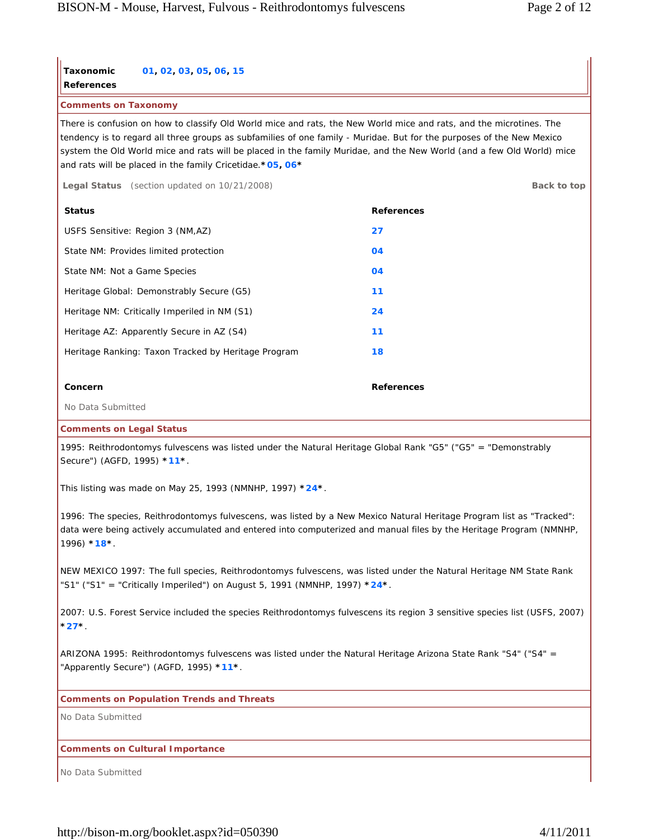| <b>Taxonomic</b><br>01, 02, 03, 05, 06, 15                                                                                                                                                                                                                                                                                                                                                                                           |                   |  |  |
|--------------------------------------------------------------------------------------------------------------------------------------------------------------------------------------------------------------------------------------------------------------------------------------------------------------------------------------------------------------------------------------------------------------------------------------|-------------------|--|--|
| <b>References</b><br><b>Comments on Taxonomy</b>                                                                                                                                                                                                                                                                                                                                                                                     |                   |  |  |
| There is confusion on how to classify Old World mice and rats, the New World mice and rats, and the microtines. The<br>tendency is to regard all three groups as subfamilies of one family - Muridae. But for the purposes of the New Mexico<br>system the Old World mice and rats will be placed in the family Muridae, and the New World (and a few Old World) mice<br>and rats will be placed in the family Cricetidae. * 05, 06* |                   |  |  |
| Legal Status (section updated on 10/21/2008)                                                                                                                                                                                                                                                                                                                                                                                         | Back to top       |  |  |
| <b>Status</b>                                                                                                                                                                                                                                                                                                                                                                                                                        | <b>References</b> |  |  |
| USFS Sensitive: Region 3 (NM,AZ)                                                                                                                                                                                                                                                                                                                                                                                                     | 27                |  |  |
| State NM: Provides limited protection                                                                                                                                                                                                                                                                                                                                                                                                | 04                |  |  |
| State NM: Not a Game Species                                                                                                                                                                                                                                                                                                                                                                                                         | 04                |  |  |
| Heritage Global: Demonstrably Secure (G5)                                                                                                                                                                                                                                                                                                                                                                                            | 11                |  |  |
| Heritage NM: Critically Imperiled in NM (S1)                                                                                                                                                                                                                                                                                                                                                                                         | 24                |  |  |
| Heritage AZ: Apparently Secure in AZ (S4)                                                                                                                                                                                                                                                                                                                                                                                            | 11                |  |  |
| Heritage Ranking: Taxon Tracked by Heritage Program                                                                                                                                                                                                                                                                                                                                                                                  | 18                |  |  |
| Concern                                                                                                                                                                                                                                                                                                                                                                                                                              | <b>References</b> |  |  |
| No Data Submitted                                                                                                                                                                                                                                                                                                                                                                                                                    |                   |  |  |
|                                                                                                                                                                                                                                                                                                                                                                                                                                      |                   |  |  |
| <b>Comments on Legal Status</b><br>1995: Reithrodontomys fulvescens was listed under the Natural Heritage Global Rank "G5" ("G5" = "Demonstrably<br>Secure") (AGFD, 1995) *11*.                                                                                                                                                                                                                                                      |                   |  |  |
| This listing was made on May 25, 1993 (NMNHP, 1997) $*24*.$                                                                                                                                                                                                                                                                                                                                                                          |                   |  |  |
| 1996: The species, Reithrodontomys fulvescens, was listed by a New Mexico Natural Heritage Program list as "Tracked":<br>data were being actively accumulated and entered into computerized and manual files by the Heritage Program (NMNHP,<br>$1996$ * $18$ *.                                                                                                                                                                     |                   |  |  |
| NEW MEXICO 1997: The full species, Reithrodontomys fulvescens, was listed under the Natural Heritage NM State Rank<br>"S1" ("S1" = "Critically Imperiled") on August 5, 1991 (NMNHP, 1997) $*24*.$                                                                                                                                                                                                                                   |                   |  |  |
| 2007: U.S. Forest Service included the species Reithrodontomys fulvescens its region 3 sensitive species list (USFS, 2007)<br>$27^{\star}$                                                                                                                                                                                                                                                                                           |                   |  |  |
| ARIZONA 1995: Reithrodontomys fulvescens was listed under the Natural Heritage Arizona State Rank "S4" ("S4" =<br>"Apparently Secure") (AGFD, 1995) *11*.                                                                                                                                                                                                                                                                            |                   |  |  |
| <b>Comments on Population Trends and Threats</b>                                                                                                                                                                                                                                                                                                                                                                                     |                   |  |  |
| No Data Submitted                                                                                                                                                                                                                                                                                                                                                                                                                    |                   |  |  |
| <b>Comments on Cultural Importance</b>                                                                                                                                                                                                                                                                                                                                                                                               |                   |  |  |
| No Data Submitted                                                                                                                                                                                                                                                                                                                                                                                                                    |                   |  |  |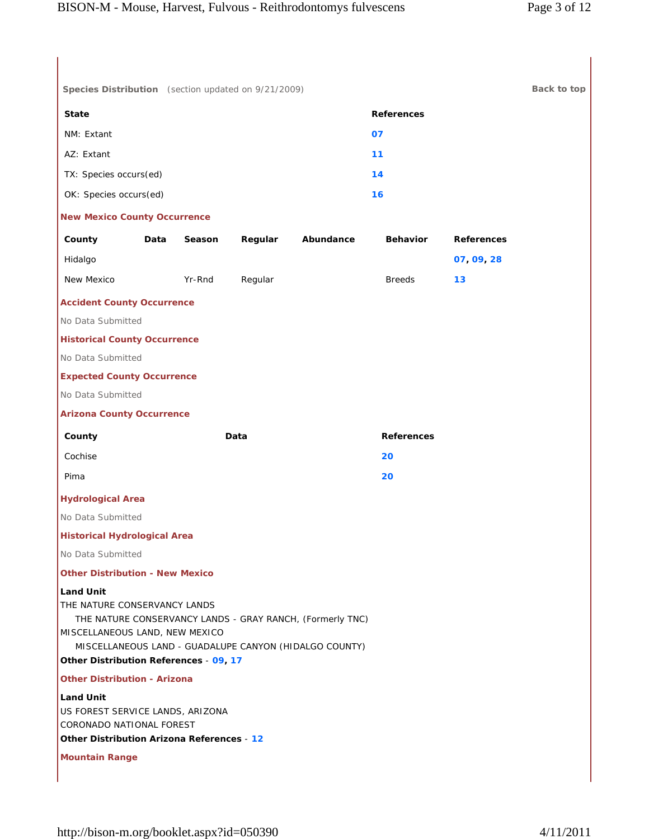| Species Distribution (section updated on 9/21/2009)                                                                                                                                                                                                 |        |         |           |                   |                   | Back to top |
|-----------------------------------------------------------------------------------------------------------------------------------------------------------------------------------------------------------------------------------------------------|--------|---------|-----------|-------------------|-------------------|-------------|
| <b>State</b>                                                                                                                                                                                                                                        |        |         |           | <b>References</b> |                   |             |
| NM: Extant                                                                                                                                                                                                                                          |        |         |           | 07                |                   |             |
| AZ: Extant                                                                                                                                                                                                                                          |        |         |           | 11                |                   |             |
| TX: Species occurs(ed)                                                                                                                                                                                                                              |        |         |           | 14                |                   |             |
| OK: Species occurs(ed)                                                                                                                                                                                                                              |        |         |           | 16                |                   |             |
| <b>New Mexico County Occurrence</b>                                                                                                                                                                                                                 |        |         |           |                   |                   |             |
| County<br>Data                                                                                                                                                                                                                                      | Season | Regular | Abundance | <b>Behavior</b>   | <b>References</b> |             |
| Hidalgo                                                                                                                                                                                                                                             |        |         |           |                   | 07, 09, 28        |             |
| New Mexico                                                                                                                                                                                                                                          | Yr-Rnd | Regular |           | <b>Breeds</b>     | 13                |             |
| <b>Accident County Occurrence</b>                                                                                                                                                                                                                   |        |         |           |                   |                   |             |
| No Data Submitted                                                                                                                                                                                                                                   |        |         |           |                   |                   |             |
| <b>Historical County Occurrence</b>                                                                                                                                                                                                                 |        |         |           |                   |                   |             |
| No Data Submitted                                                                                                                                                                                                                                   |        |         |           |                   |                   |             |
| <b>Expected County Occurrence</b>                                                                                                                                                                                                                   |        |         |           |                   |                   |             |
| No Data Submitted                                                                                                                                                                                                                                   |        |         |           |                   |                   |             |
| <b>Arizona County Occurrence</b>                                                                                                                                                                                                                    |        |         |           |                   |                   |             |
| County                                                                                                                                                                                                                                              |        | Data    |           | <b>References</b> |                   |             |
| Cochise                                                                                                                                                                                                                                             |        |         |           | 20                |                   |             |
| Pima                                                                                                                                                                                                                                                |        |         |           | 20                |                   |             |
| <b>Hydrological Area</b>                                                                                                                                                                                                                            |        |         |           |                   |                   |             |
| No Data Submitted                                                                                                                                                                                                                                   |        |         |           |                   |                   |             |
| <b>Historical Hydrological Area</b>                                                                                                                                                                                                                 |        |         |           |                   |                   |             |
| No Data Submitted                                                                                                                                                                                                                                   |        |         |           |                   |                   |             |
| <b>Other Distribution - New Mexico</b>                                                                                                                                                                                                              |        |         |           |                   |                   |             |
| <b>Land Unit</b><br>THE NATURE CONSERVANCY LANDS<br>THE NATURE CONSERVANCY LANDS - GRAY RANCH, (Formerly TNC)<br>MISCELLANEOUS LAND, NEW MEXICO<br>MISCELLANEOUS LAND - GUADALUPE CANYON (HIDALGO COUNTY)<br>Other Distribution References - 09, 17 |        |         |           |                   |                   |             |
| <b>Other Distribution - Arizona</b>                                                                                                                                                                                                                 |        |         |           |                   |                   |             |
| Land Unit<br>US FOREST SERVICE LANDS, ARIZONA<br>CORONADO NATIONAL FOREST<br>Other Distribution Arizona References - 12                                                                                                                             |        |         |           |                   |                   |             |
| <b>Mountain Range</b>                                                                                                                                                                                                                               |        |         |           |                   |                   |             |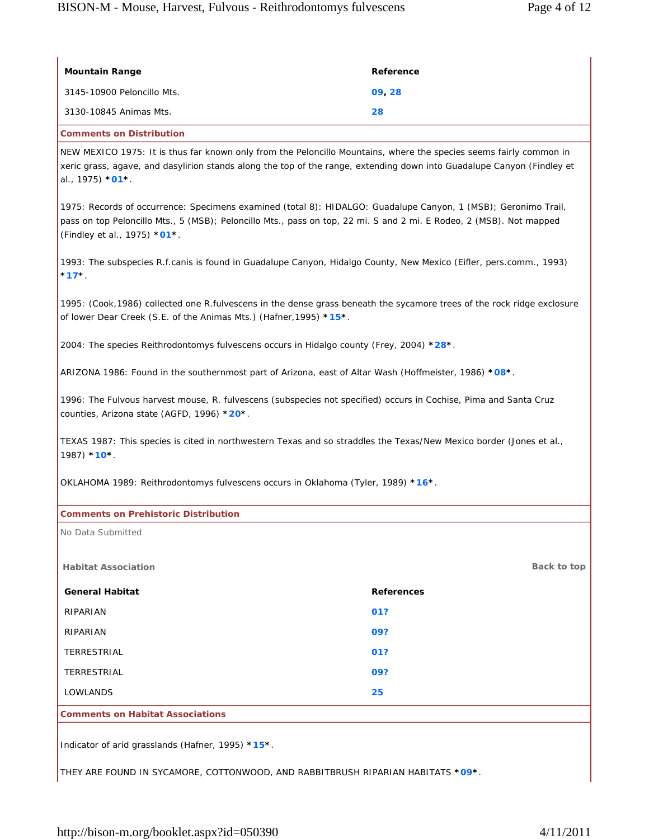| <b>Mountain Range</b>                                                                                                                                                                                                                                                     | Reference         |  |  |
|---------------------------------------------------------------------------------------------------------------------------------------------------------------------------------------------------------------------------------------------------------------------------|-------------------|--|--|
| 3145-10900 Peloncillo Mts.                                                                                                                                                                                                                                                | 09, 28            |  |  |
| 3130-10845 Animas Mts.                                                                                                                                                                                                                                                    | 28                |  |  |
| <b>Comments on Distribution</b>                                                                                                                                                                                                                                           |                   |  |  |
| NEW MEXICO 1975: It is thus far known only from the Peloncillo Mountains, where the species seems fairly common in<br>xeric grass, agave, and dasylirion stands along the top of the range, extending down into Guadalupe Canyon (Findley et<br>al., 1975) * <b>01</b> *. |                   |  |  |
| 1975: Records of occurrence: Specimens examined (total 8): HIDALGO: Guadalupe Canyon, 1 (MSB); Geronimo Trail,<br>pass on top Peloncillo Mts., 5 (MSB); Peloncillo Mts., pass on top, 22 mi. S and 2 mi. E Rodeo, 2 (MSB). Not mapped<br>(Findley et al., 1975) *01*.     |                   |  |  |
| 1993: The subspecies R.f.canis is found in Guadalupe Canyon, Hidalgo County, New Mexico (Eifler, pers.comm., 1993)<br>$*17*$                                                                                                                                              |                   |  |  |
| 1995: (Cook,1986) collected one R.fulvescens in the dense grass beneath the sycamore trees of the rock ridge exclosure<br>of lower Dear Creek (S.E. of the Animas Mts.) (Hafner, 1995) *15*.                                                                              |                   |  |  |
| 2004: The species Reithrodontomys fulvescens occurs in Hidalgo county (Frey, 2004) *28*.                                                                                                                                                                                  |                   |  |  |
| .*ARIZONA 1986: Found in the southernmost part of Arizona, east of Altar Wash (Hoffmeister, 1986) *08                                                                                                                                                                     |                   |  |  |
| 1996: The Fulvous harvest mouse, R. fulvescens (subspecies not specified) occurs in Cochise, Pima and Santa Cruz<br>counties, Arizona state (AGFD, 1996) *20*.                                                                                                            |                   |  |  |
| TEXAS 1987: This species is cited in northwestern Texas and so straddles the Texas/New Mexico border (Jones et al.,<br>1987) *10*.                                                                                                                                        |                   |  |  |
| OKLAHOMA 1989: Reithrodontomys fulvescens occurs in Oklahoma (Tyler, 1989) *16*.                                                                                                                                                                                          |                   |  |  |
| <b>Comments on Prehistoric Distribution</b>                                                                                                                                                                                                                               |                   |  |  |
| No Data Submitted                                                                                                                                                                                                                                                         |                   |  |  |
| <b>Habitat Association</b>                                                                                                                                                                                                                                                | Back to top       |  |  |
| <b>General Habitat</b>                                                                                                                                                                                                                                                    | <b>References</b> |  |  |
| RIPARIAN                                                                                                                                                                                                                                                                  | 01?               |  |  |
| RIPARIAN                                                                                                                                                                                                                                                                  | 09?               |  |  |
| TERRESTRIAL                                                                                                                                                                                                                                                               | 01?               |  |  |
| TERRESTRIAL                                                                                                                                                                                                                                                               | 09?               |  |  |
| LOWLANDS                                                                                                                                                                                                                                                                  | 25                |  |  |
| <b>Comments on Habitat Associations</b>                                                                                                                                                                                                                                   |                   |  |  |
| Indicator of arid grasslands (Hafner, 1995) *15*.                                                                                                                                                                                                                         |                   |  |  |

THEY ARE FOUND IN SYCAMORE, COTTONWOOD, AND RABBITBRUSH RIPARIAN HABITATS **\*09\***.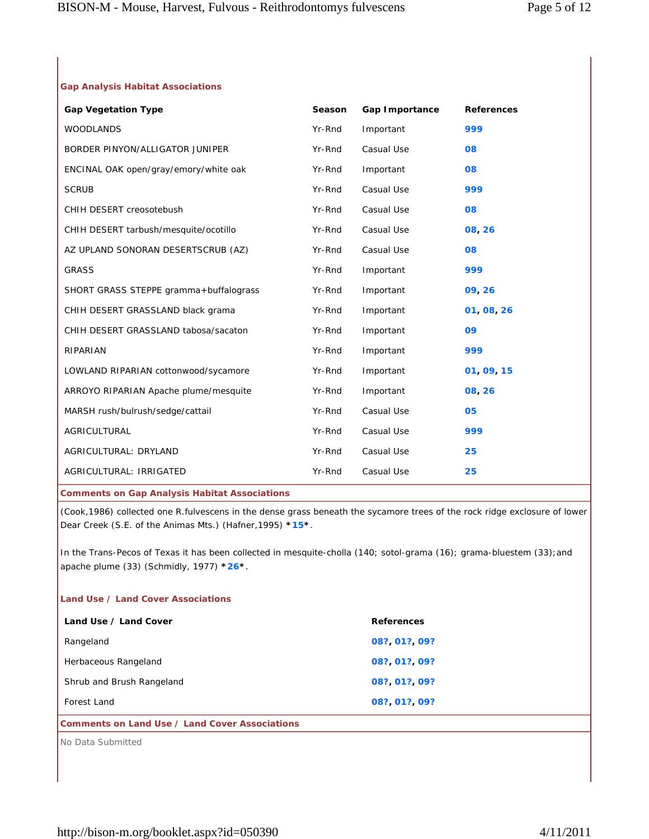# **Gap Analysis Habitat Associations**

| <b>Gap Vegetation Type</b>                           | Season | Gap Importance | <b>References</b> |
|------------------------------------------------------|--------|----------------|-------------------|
| <b>WOODLANDS</b>                                     | Yr-Rnd | Important      | 999               |
| BORDER PINYON/ALLIGATOR JUNIPER                      | Yr-Rnd | Casual Use     | 80                |
| ENCINAL OAK open/gray/emory/white oak                | Yr-Rnd | Important      | 80                |
| <b>SCRUB</b>                                         | Yr-Rnd | Casual Use     | 999               |
| CHIH DESERT creosotebush                             | Yr-Rnd | Casual Use     | 80                |
| CHIH DESERT tarbush/mesquite/ocotillo                | Yr-Rnd | Casual Use     | 08, 26            |
| AZ UPLAND SONORAN DESERTSCRUB (AZ)                   | Yr-Rnd | Casual Use     | 80                |
| <b>GRASS</b>                                         | Yr-Rnd | Important      | 999               |
| SHORT GRASS STEPPE gramma+buffalograss               | Yr-Rnd | Important      | 09, 26            |
| CHIH DESERT GRASSLAND black grama                    | Yr-Rnd | Important      | 01, 08, 26        |
| CHIH DESERT GRASSLAND tabosa/sacaton                 | Yr-Rnd | Important      | 09                |
| RIPARIAN                                             | Yr-Rnd | Important      | 999               |
| LOWLAND RIPARIAN cottonwood/sycamore                 | Yr-Rnd | Important      | 01, 09, 15        |
| ARROYO RIPARIAN Apache plume/mesquite                | Yr-Rnd | Important      | 08, 26            |
| MARSH rush/bulrush/sedge/cattail                     | Yr-Rnd | Casual Use     | 05                |
| AGRICULTURAL                                         | Yr-Rnd | Casual Use     | 999               |
| AGRICULTURAL: DRYLAND                                | Yr-Rnd | Casual Use     | 25                |
| AGRICULTURAL: IRRIGATED                              | Yr-Rnd | Casual Use     | 25                |
| <b>Comments on Gap Analysis Habitat Associations</b> |        |                |                   |

(Cook,1986) collected one R.fulvescens in the dense grass beneath the sycamore trees of the rock ridge exclosure of lower Dear Creek (S.E. of the Animas Mts.) (Hafner,1995) **\*15\***.

In the Trans-Pecos of Texas it has been collected in mesquite-cholla (140; sotol-grama (16); grama-bluestem (33);and apache plume (33) (Schmidly, 1977) **\*26\***.

## **Land Use / Land Cover Associations**

| Land Use / Land Cover     | <b>References</b> |
|---------------------------|-------------------|
| Rangeland                 | 08? 01? 09?       |
| Herbaceous Rangeland      | 08? 01? 09?       |
| Shrub and Brush Rangeland | 08? 01? 09?       |
| Forest Land               | 08? 01? 09?       |
|                           |                   |

## **Comments on Land Use / Land Cover Associations**

No Data Submitted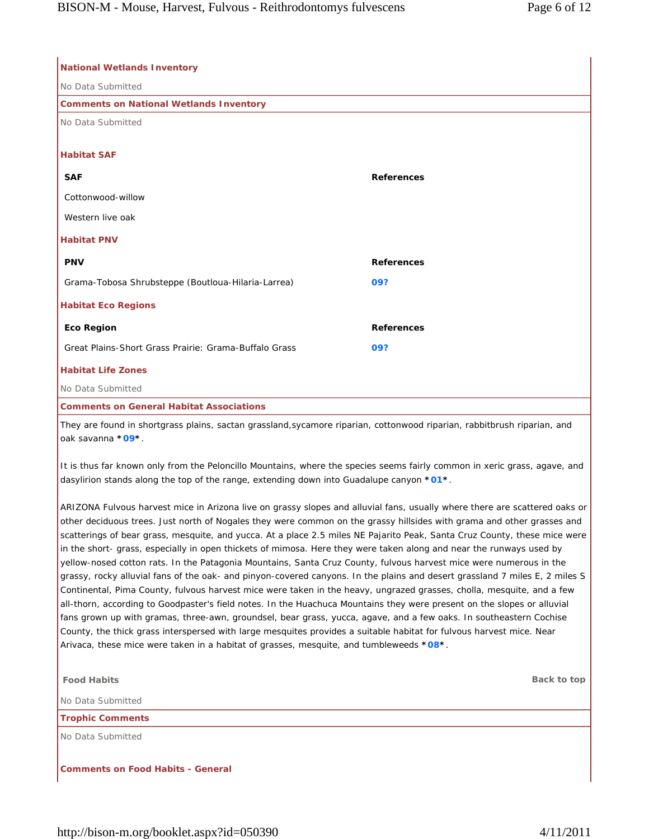| <b>National Wetlands Inventory</b>                                                                                                                                                                                                                                                                                                                                                                                                                                                                                                                                                                                                                                                                                                                            |                   |
|---------------------------------------------------------------------------------------------------------------------------------------------------------------------------------------------------------------------------------------------------------------------------------------------------------------------------------------------------------------------------------------------------------------------------------------------------------------------------------------------------------------------------------------------------------------------------------------------------------------------------------------------------------------------------------------------------------------------------------------------------------------|-------------------|
| No Data Submitted                                                                                                                                                                                                                                                                                                                                                                                                                                                                                                                                                                                                                                                                                                                                             |                   |
| <b>Comments on National Wetlands Inventory</b>                                                                                                                                                                                                                                                                                                                                                                                                                                                                                                                                                                                                                                                                                                                |                   |
| No Data Submitted                                                                                                                                                                                                                                                                                                                                                                                                                                                                                                                                                                                                                                                                                                                                             |                   |
| <b>Habitat SAF</b>                                                                                                                                                                                                                                                                                                                                                                                                                                                                                                                                                                                                                                                                                                                                            |                   |
| <b>SAF</b>                                                                                                                                                                                                                                                                                                                                                                                                                                                                                                                                                                                                                                                                                                                                                    | <b>References</b> |
| Cottonwood-willow                                                                                                                                                                                                                                                                                                                                                                                                                                                                                                                                                                                                                                                                                                                                             |                   |
| Western live oak                                                                                                                                                                                                                                                                                                                                                                                                                                                                                                                                                                                                                                                                                                                                              |                   |
| <b>Habitat PNV</b>                                                                                                                                                                                                                                                                                                                                                                                                                                                                                                                                                                                                                                                                                                                                            |                   |
| <b>PNV</b>                                                                                                                                                                                                                                                                                                                                                                                                                                                                                                                                                                                                                                                                                                                                                    | <b>References</b> |
| Grama-Tobosa Shrubsteppe (Boutloua-Hilaria-Larrea)                                                                                                                                                                                                                                                                                                                                                                                                                                                                                                                                                                                                                                                                                                            | 09?               |
| <b>Habitat Eco Regions</b>                                                                                                                                                                                                                                                                                                                                                                                                                                                                                                                                                                                                                                                                                                                                    |                   |
| <b>Eco Region</b>                                                                                                                                                                                                                                                                                                                                                                                                                                                                                                                                                                                                                                                                                                                                             | <b>References</b> |
| Great Plains-Short Grass Prairie: Grama-Buffalo Grass                                                                                                                                                                                                                                                                                                                                                                                                                                                                                                                                                                                                                                                                                                         | 09?               |
| <b>Habitat Life Zones</b>                                                                                                                                                                                                                                                                                                                                                                                                                                                                                                                                                                                                                                                                                                                                     |                   |
| No Data Submitted                                                                                                                                                                                                                                                                                                                                                                                                                                                                                                                                                                                                                                                                                                                                             |                   |
| <b>Comments on General Habitat Associations</b>                                                                                                                                                                                                                                                                                                                                                                                                                                                                                                                                                                                                                                                                                                               |                   |
| They are found in shortgrass plains, sactan grassland, sycamore riparian, cottonwood riparian, rabbitbrush riparian, and<br>oak savanna *09*.                                                                                                                                                                                                                                                                                                                                                                                                                                                                                                                                                                                                                 |                   |
| It is thus far known only from the Peloncillo Mountains, where the species seems fairly common in xeric grass, agave, and<br>dasylirion stands along the top of the range, extending down into Guadalupe canyon *01*.                                                                                                                                                                                                                                                                                                                                                                                                                                                                                                                                         |                   |
| ARIZONA Fulvous harvest mice in Arizona live on grassy slopes and alluvial fans, usually where there are scattered oaks or<br>other deciduous trees. Just north of Nogales they were common on the grassy hillsides with grama and other grasses and<br>scatterings of bear grass, mesquite, and yucca. At a place 2.5 miles NE Pajarito Peak, Santa Cruz County, these mice were<br>in the short- grass, especially in open thickets of mimosa. Here they were taken along and near the runways used by<br>yellow-nosed cotton rats. In the Patagonia Mountains, Santa Cruz County, fulvous harvest mice were numerous in the<br>grassy, rocky alluvial fans of the oak- and pinyon-covered canyons. In the plains and desert grassland 7 miles E, 2 miles S |                   |

Continental, Pima County, fulvous harvest mice were taken in the heavy, ungrazed grasses, cholla, mesquite, and a few all-thorn, according to Goodpaster's field notes. In the Huachuca Mountains they were present on the slopes or alluvial fans grown up with gramas, three-awn, groundsel, bear grass, yucca, agave, and a few oaks. In southeastern Cochise County, the thick grass interspersed with large mesquites provides a suitable habitat for fulvous harvest mice. Near Arivaca, these mice were taken in a habitat of grasses, mesquite, and tumbleweeds **\*08\***.

| <b>Food Habits</b>                | Back to top |
|-----------------------------------|-------------|
| No Data Submitted                 |             |
| <b>Trophic Comments</b>           |             |
| No Data Submitted                 |             |
|                                   |             |
| Comments on Food Habits - General |             |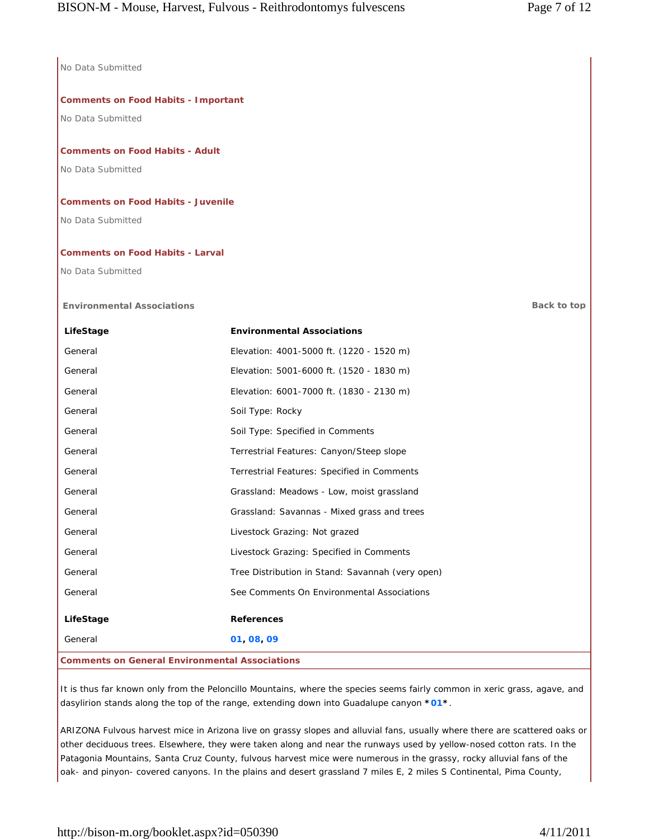No Data Submitted

# **Comments on Food Habits - Important**

No Data Submitted

# **Comments on Food Habits - Adult**

No Data Submitted

# **Comments on Food Habits - Juvenile**

No Data Submitted

# **Comments on Food Habits - Larval**

No Data Submitted

# **Environmental Associations Back to top**

| LifeStage                                             | <b>Environmental Associations</b>                |  |
|-------------------------------------------------------|--------------------------------------------------|--|
| General                                               | Elevation: 4001-5000 ft. (1220 - 1520 m)         |  |
| General                                               | Elevation: 5001-6000 ft. (1520 - 1830 m)         |  |
| General                                               | Elevation: 6001-7000 ft. (1830 - 2130 m)         |  |
| General                                               | Soil Type: Rocky                                 |  |
| General                                               | Soil Type: Specified in Comments                 |  |
| General                                               | Terrestrial Features: Canyon/Steep slope         |  |
| General                                               | Terrestrial Features: Specified in Comments      |  |
| General                                               | Grassland: Meadows - Low, moist grassland        |  |
| General                                               | Grassland: Savannas - Mixed grass and trees      |  |
| General                                               | Livestock Grazing: Not grazed                    |  |
| General                                               | Livestock Grazing: Specified in Comments         |  |
| General                                               | Tree Distribution in Stand: Savannah (very open) |  |
| General                                               | See Comments On Environmental Associations       |  |
| LifeStage                                             | <b>References</b>                                |  |
| General                                               | 01 08 09                                         |  |
| <b>Comments on General Environmental Associations</b> |                                                  |  |

It is thus far known only from the Peloncillo Mountains, where the species seems fairly common in xeric grass, agave, and dasylirion stands along the top of the range, extending down into Guadalupe canyon **\*01\***.

ARIZONA Fulvous harvest mice in Arizona live on grassy slopes and alluvial fans, usually where there are scattered oaks or other deciduous trees. Elsewhere, they were taken along and near the runways used by yellow-nosed cotton rats. In the Patagonia Mountains, Santa Cruz County, fulvous harvest mice were numerous in the grassy, rocky alluvial fans of the oak- and pinyon- covered canyons. In the plains and desert grassland 7 miles E, 2 miles S Continental, Pima County,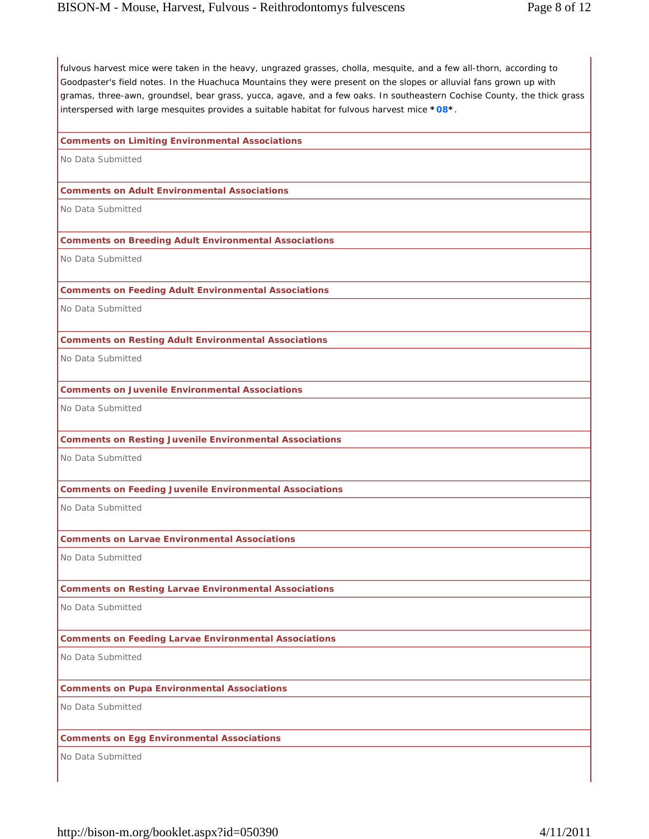fulvous harvest mice were taken in the heavy, ungrazed grasses, cholla, mesquite, and a few all-thorn, according to Goodpaster's field notes. In the Huachuca Mountains they were present on the slopes or alluvial fans grown up with gramas, three-awn, groundsel, bear grass, yucca, agave, and a few oaks. In southeastern Cochise County, the thick grass interspersed with large mesquites provides a suitable habitat for fulvous harvest mice **\*08\***.

### **Comments on Limiting Environmental Associations**

No Data Submitted

#### **Comments on Adult Environmental Associations**

No Data Submitted

### **Comments on Breeding Adult Environmental Associations**

No Data Submitted

#### **Comments on Feeding Adult Environmental Associations**

No Data Submitted

#### **Comments on Resting Adult Environmental Associations**

No Data Submitted

### **Comments on Juvenile Environmental Associations**

No Data Submitted

## **Comments on Resting Juvenile Environmental Associations**

No Data Submitted

## **Comments on Feeding Juvenile Environmental Associations**

No Data Submitted

### **Comments on Larvae Environmental Associations**

No Data Submitted

## **Comments on Resting Larvae Environmental Associations**

No Data Submitted

## **Comments on Feeding Larvae Environmental Associations**

No Data Submitted

## **Comments on Pupa Environmental Associations**

No Data Submitted

# **Comments on Egg Environmental Associations**

No Data Submitted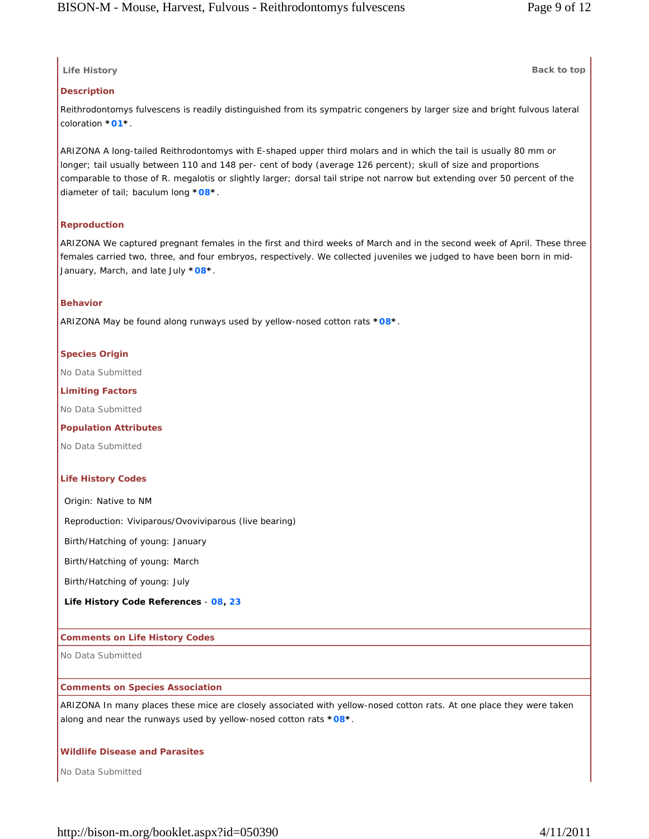# **Life History Back to top**

### **Description**

Reithrodontomys fulvescens is readily distinguished from its sympatric congeners by larger size and bright fulvous lateral coloration **\*01\***.

ARIZONA A long-tailed Reithrodontomys with E-shaped upper third molars and in which the tail is usually 80 mm or longer; tail usually between 110 and 148 per- cent of body (average 126 percent); skull of size and proportions comparable to those of R. megalotis or slightly larger; dorsal tail stripe not narrow but extending over 50 percent of the diameter of tail; baculum long **\*08\***.

## **Reproduction**

ARIZONA We captured pregnant females in the first and third weeks of March and in the second week of April. These three females carried two, three, and four embryos, respectively. We collected juveniles we judged to have been born in mid-January, March, and late July **\*08\***.

## **Behavior**

ARIZONA May be found along runways used by yellow-nosed cotton rats **\*08\***.

### **Species Origin**

No Data Submitted

### **Limiting Factors**

No Data Submitted

#### **Population Attributes**

No Data Submitted

#### **Life History Codes**

Origin: Native to NM

Reproduction: Viviparous/Ovoviviparous (live bearing)

Birth/Hatching of young: January

Birth/Hatching of young: March

Birth/Hatching of young: July

**Life History Code References** - **08, 23**

#### **Comments on Life History Codes**

No Data Submitted

#### **Comments on Species Association**

ARIZONA In many places these mice are closely associated with yellow-nosed cotton rats. At one place they were taken along and near the runways used by yellow-nosed cotton rats **\*08\***.

#### **Wildlife Disease and Parasites**

No Data Submitted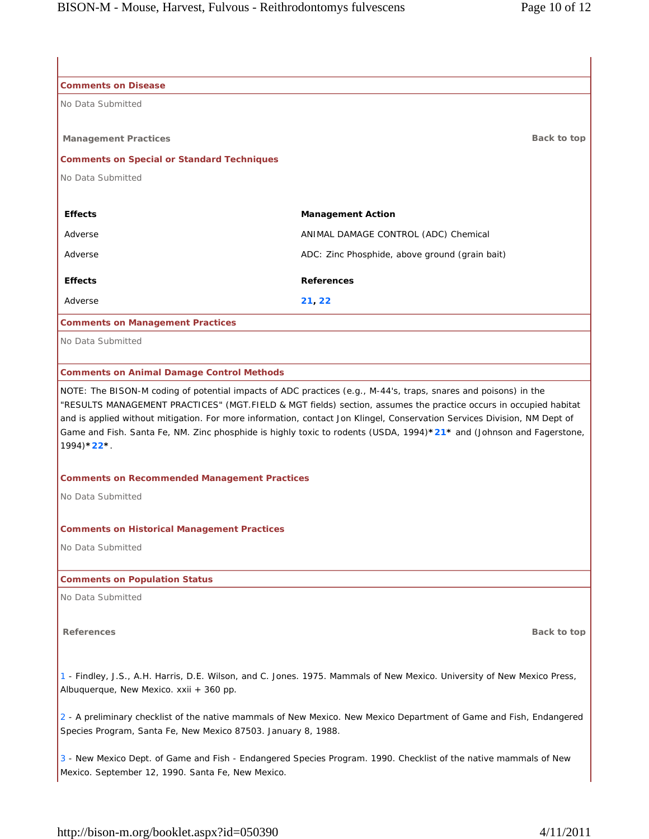| <b>Comments on Disease</b>                                    |                                                                                                                                                                                                                                              |  |
|---------------------------------------------------------------|----------------------------------------------------------------------------------------------------------------------------------------------------------------------------------------------------------------------------------------------|--|
| No Data Submitted                                             |                                                                                                                                                                                                                                              |  |
|                                                               |                                                                                                                                                                                                                                              |  |
| <b>Management Practices</b>                                   | Back to top                                                                                                                                                                                                                                  |  |
| <b>Comments on Special or Standard Techniques</b>             |                                                                                                                                                                                                                                              |  |
| No Data Submitted                                             |                                                                                                                                                                                                                                              |  |
| <b>Effects</b>                                                | <b>Management Action</b>                                                                                                                                                                                                                     |  |
| Adverse                                                       | ANIMAL DAMAGE CONTROL (ADC) Chemical                                                                                                                                                                                                         |  |
| Adverse                                                       | ADC: Zinc Phosphide, above ground (grain bait)                                                                                                                                                                                               |  |
| <b>Effects</b>                                                | <b>References</b>                                                                                                                                                                                                                            |  |
| Adverse                                                       | 21, 22                                                                                                                                                                                                                                       |  |
| <b>Comments on Management Practices</b>                       |                                                                                                                                                                                                                                              |  |
| No Data Submitted                                             |                                                                                                                                                                                                                                              |  |
|                                                               |                                                                                                                                                                                                                                              |  |
| <b>Comments on Animal Damage Control Methods</b>              |                                                                                                                                                                                                                                              |  |
|                                                               | NOTE: The BISON-M coding of potential impacts of ADC practices (e.g., M-44's, traps, snares and poisons) in the                                                                                                                              |  |
|                                                               | "RESULTS MANAGEMENT PRACTICES" (MGT.FIELD & MGT fields) section, assumes the practice occurs in occupied habitat<br>and is applied without mitigation. For more information, contact Jon Klingel, Conservation Services Division, NM Dept of |  |
|                                                               | Game and Fish. Santa Fe, NM. Zinc phosphide is highly toxic to rodents (USDA, 1994)*21* and (Johnson and Fagerstone,                                                                                                                         |  |
| $1994$ * $22$ *                                               |                                                                                                                                                                                                                                              |  |
|                                                               |                                                                                                                                                                                                                                              |  |
| <b>Comments on Recommended Management Practices</b>           |                                                                                                                                                                                                                                              |  |
| No Data Submitted                                             |                                                                                                                                                                                                                                              |  |
| <b>Comments on Historical Management Practices</b>            |                                                                                                                                                                                                                                              |  |
| No Data Submitted                                             |                                                                                                                                                                                                                                              |  |
|                                                               |                                                                                                                                                                                                                                              |  |
| <b>Comments on Population Status</b>                          |                                                                                                                                                                                                                                              |  |
| No Data Submitted                                             |                                                                                                                                                                                                                                              |  |
| <b>References</b>                                             | Back to top                                                                                                                                                                                                                                  |  |
|                                                               |                                                                                                                                                                                                                                              |  |
|                                                               | 1 - Findley, J.S., A.H. Harris, D.E. Wilson, and C. Jones. 1975. Mammals of New Mexico. University of New Mexico Press,                                                                                                                      |  |
| Albuquerque, New Mexico. xxii + 360 pp.                       |                                                                                                                                                                                                                                              |  |
|                                                               | 2 - A preliminary checklist of the native mammals of New Mexico. New Mexico Department of Game and Fish, Endangered                                                                                                                          |  |
| Species Program, Santa Fe, New Mexico 87503. January 8, 1988. |                                                                                                                                                                                                                                              |  |
|                                                               | 3 - New Mexico Dept. of Game and Fish - Endangered Species Program. 1990. Checklist of the native mammals of New                                                                                                                             |  |
| Mexico. September 12, 1990. Santa Fe, New Mexico.             |                                                                                                                                                                                                                                              |  |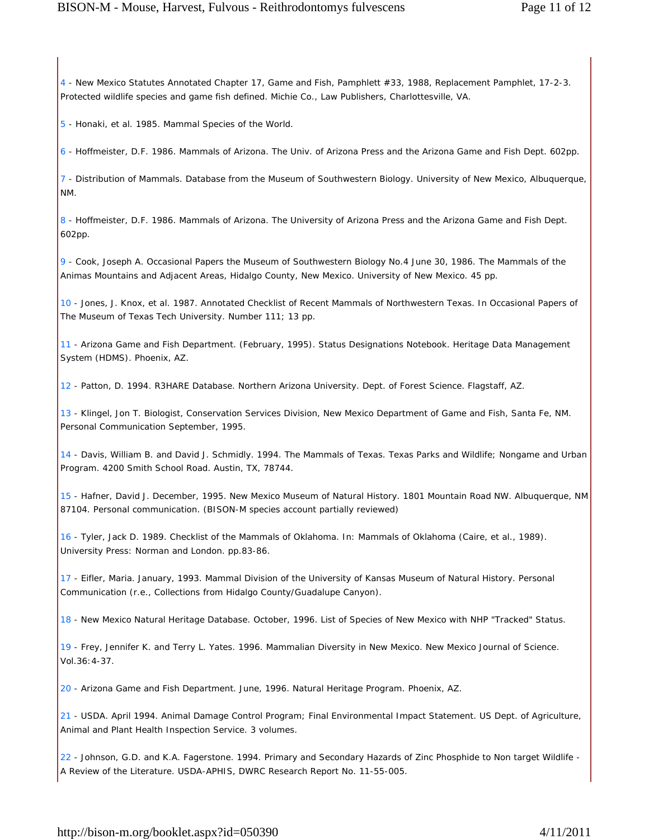4 - New Mexico Statutes Annotated Chapter 17, Game and Fish, Pamphlett #33, 1988, Replacement Pamphlet, 17-2-3. Protected wildlife species and game fish defined. Michie Co., Law Publishers, Charlottesville, VA.

5 - Honaki, et al. 1985. Mammal Species of the World.

6 - Hoffmeister, D.F. 1986. Mammals of Arizona. The Univ. of Arizona Press and the Arizona Game and Fish Dept. 602pp.

7 - Distribution of Mammals. Database from the Museum of Southwestern Biology. University of New Mexico, Albuquerque, NM.

8 - Hoffmeister, D.F. 1986. Mammals of Arizona. The University of Arizona Press and the Arizona Game and Fish Dept. 602pp.

9 - Cook, Joseph A. Occasional Papers the Museum of Southwestern Biology No.4 June 30, 1986. The Mammals of the Animas Mountains and Adjacent Areas, Hidalgo County, New Mexico. University of New Mexico. 45 pp.

10 - Jones, J. Knox, et al. 1987. Annotated Checklist of Recent Mammals of Northwestern Texas. In Occasional Papers of The Museum of Texas Tech University. Number 111; 13 pp.

11 - Arizona Game and Fish Department. (February, 1995). Status Designations Notebook. Heritage Data Management System (HDMS). Phoenix, AZ.

12 - Patton, D. 1994. R3HARE Database. Northern Arizona University. Dept. of Forest Science. Flagstaff, AZ.

13 - Klingel, Jon T. Biologist, Conservation Services Division, New Mexico Department of Game and Fish, Santa Fe, NM. Personal Communication September, 1995.

14 - Davis, William B. and David J. Schmidly. 1994. The Mammals of Texas. Texas Parks and Wildlife; Nongame and Urban Program. 4200 Smith School Road. Austin, TX, 78744.

15 - Hafner, David J. December, 1995. New Mexico Museum of Natural History. 1801 Mountain Road NW. Albuquerque, NM 87104. Personal communication. (BISON-M species account partially reviewed)

16 - Tyler, Jack D. 1989. Checklist of the Mammals of Oklahoma. In: Mammals of Oklahoma (Caire, et al., 1989). University Press: Norman and London. pp.83-86.

17 - Eifler, Maria. January, 1993. Mammal Division of the University of Kansas Museum of Natural History. Personal Communication (r.e., Collections from Hidalgo County/Guadalupe Canyon).

18 - New Mexico Natural Heritage Database. October, 1996. List of Species of New Mexico with NHP "Tracked" Status.

19 - Frey, Jennifer K. and Terry L. Yates. 1996. Mammalian Diversity in New Mexico. New Mexico Journal of Science. Vol.36:4-37.

20 - Arizona Game and Fish Department. June, 1996. Natural Heritage Program. Phoenix, AZ.

21 - USDA. April 1994. Animal Damage Control Program; Final Environmental Impact Statement. US Dept. of Agriculture, Animal and Plant Health Inspection Service. 3 volumes.

22 - Johnson, G.D. and K.A. Fagerstone. 1994. Primary and Secondary Hazards of Zinc Phosphide to Non target Wildlife - A Review of the Literature. USDA-APHIS, DWRC Research Report No. 11-55-005.